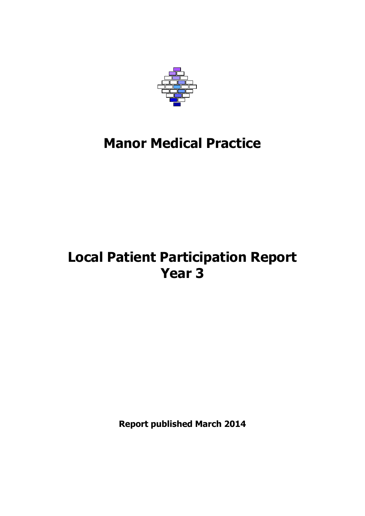

# **Manor Medical Practice**

## **Local Patient Participation Report Year 3**

**Report published March 2014**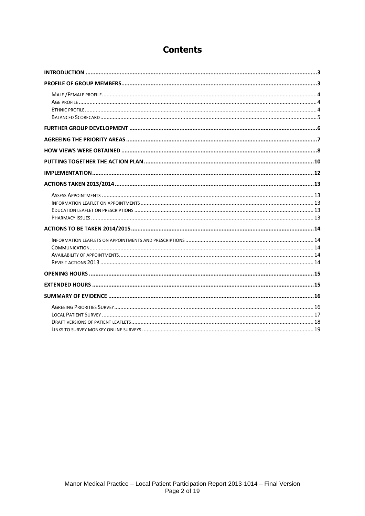## **Contents**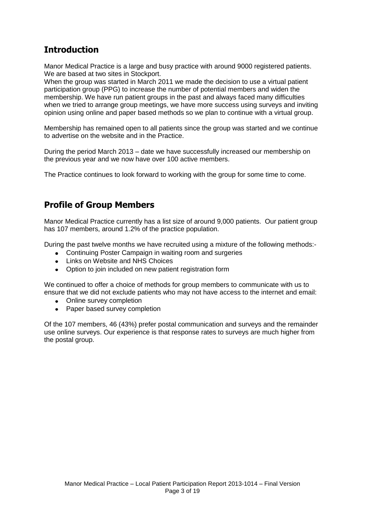## <span id="page-2-0"></span>**Introduction**

Manor Medical Practice is a large and busy practice with around 9000 registered patients. We are based at two sites in Stockport.

When the group was started in March 2011 we made the decision to use a virtual patient participation group (PPG) to increase the number of potential members and widen the membership. We have run patient groups in the past and always faced many difficulties when we tried to arrange group meetings, we have more success using surveys and inviting opinion using online and paper based methods so we plan to continue with a virtual group.

Membership has remained open to all patients since the group was started and we continue to advertise on the website and in the Practice.

During the period March 2013 – date we have successfully increased our membership on the previous year and we now have over 100 active members.

The Practice continues to look forward to working with the group for some time to come.

## <span id="page-2-1"></span>**Profile of Group Members**

Manor Medical Practice currently has a list size of around 9,000 patients. Our patient group has 107 members, around 1.2% of the practice population.

During the past twelve months we have recruited using a mixture of the following methods:-

- Continuing Poster Campaign in waiting room and surgeries
- Links on Website and NHS Choices
- Option to join included on new patient registration form

We continued to offer a choice of methods for group members to communicate with us to ensure that we did not exclude patients who may not have access to the internet and email:

- Online survey completion  $\bullet$
- Paper based survey completion

Of the 107 members, 46 (43%) prefer postal communication and surveys and the remainder use online surveys. Our experience is that response rates to surveys are much higher from the postal group.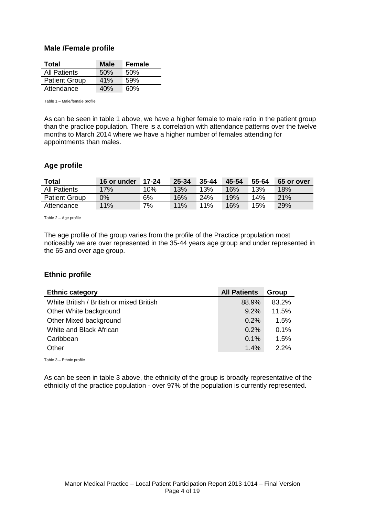#### <span id="page-3-0"></span>**Male /Female profile**

| Total                | <b>Male</b> | Female |
|----------------------|-------------|--------|
| <b>All Patients</b>  | 50%         | 50%    |
| <b>Patient Group</b> | 41%         | 59%    |
| Attendance           | 40%         | 60%    |

Table 1 – Male/female profile

As can be seen in table 1 above, we have a higher female to male ratio in the patient group than the practice population. There is a correlation with attendance patterns over the twelve months to March 2014 where we have a higher number of females attending for appointments than males.

#### <span id="page-3-1"></span>**Age profile**

| Total                | 16 or under | 17-24 | 25-34 | $35 - 44$ | 45-54 | 55-64 | 65 or over |
|----------------------|-------------|-------|-------|-----------|-------|-------|------------|
| <b>All Patients</b>  | 17%         | 10%   | 13%   | 13%       | 16%   | 13%   | 18%        |
| <b>Patient Group</b> | 0%          | 6%    | 16%   | 24%       | 19%   | 14%   | 21%        |
| Attendance           | 11%         | 7%    | 11%   | 11%       | 16%   | 15%   | 29%        |

Table 2 – Age profile

The age profile of the group varies from the profile of the Practice propulation most noticeably we are over represented in the 35-44 years age group and under represented in the 65 and over age group.

#### <span id="page-3-2"></span>**Ethnic profile**

| <b>Ethnic category</b>                   | <b>All Patients</b> | Group |
|------------------------------------------|---------------------|-------|
| White British / British or mixed British | 88.9%               | 83.2% |
| Other White background                   | $9.2\%$             | 11.5% |
| Other Mixed background                   | 0.2%                | 1.5%  |
| White and Black African                  | 0.2%                | 0.1%  |
| Caribbean                                | 0.1%                | 1.5%  |
| Other                                    | 1.4%                | 2.2%  |

Table 3 – Ethnic profile

As can be seen in table 3 above, the ethnicity of the group is broadly representative of the ethnicity of the practice population - over 97% of the population is currently represented.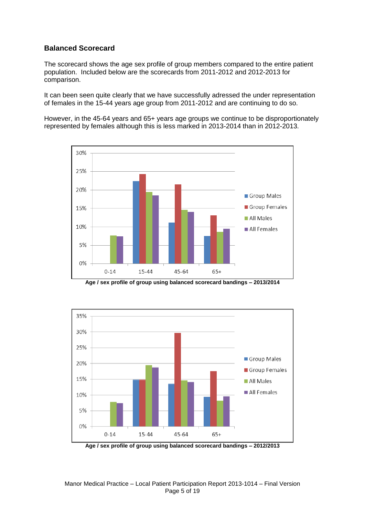#### <span id="page-4-0"></span>**Balanced Scorecard**

The scorecard shows the age sex profile of group members compared to the entire patient population. Included below are the scorecards from 2011-2012 and 2012-2013 for comparison.

It can been seen quite clearly that we have successfully adressed the under representation of females in the 15-44 years age group from 2011-2012 and are continuing to do so.

However, in the 45-64 years and 65+ years age groups we continue to be disproportionately represented by females although this is less marked in 2013-2014 than in 2012-2013.



**Age / sex profile of group using balanced scorecard bandings – 2013/2014**



**Age / sex profile of group using balanced scorecard bandings – 2012/2013**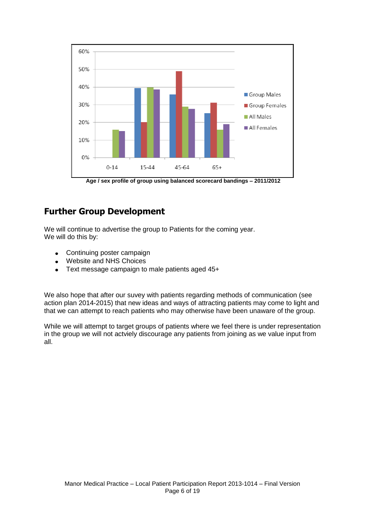

**Age / sex profile of group using balanced scorecard bandings – 2011/2012**

## <span id="page-5-0"></span>**Further Group Development**

We will continue to advertise the group to Patients for the coming year. We will do this by:

- Continuing poster campaign  $\bullet$
- Website and NHS Choices
- Text message campaign to male patients aged 45+  $\bullet$

We also hope that after our suvey with patients regarding methods of communication (see action plan 2014-2015) that new ideas and ways of attracting patients may come to light and that we can attempt to reach patients who may otherwise have been unaware of the group.

While we will attempt to target groups of patients where we feel there is under representation in the group we will not actviely discourage any patients from joining as we value input from all.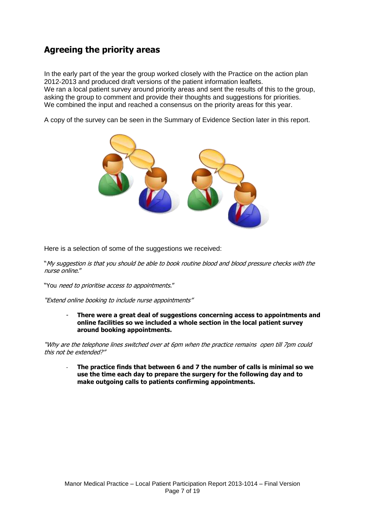## <span id="page-6-0"></span>**Agreeing the priority areas**

In the early part of the year the group worked closely with the Practice on the action plan 2012-2013 and produced draft versions of the patient information leaflets. We ran a local patient survey around priority areas and sent the results of this to the group, asking the group to comment and provide their thoughts and suggestions for priorities. We combined the input and reached a consensus on the priority areas for this year.

A copy of the survey can be seen in the Summary of Evidence Section later in this report.



Here is a selection of some of the suggestions we received:

"My suggestion is that you should be able to book routine blood and blood pressure checks with the nurse online."

"You need to prioritise access to appointments."

"Extend online booking to include nurse appointments"

There were a great deal of suggestions concerning access to appointments and **online facilities so we included a whole section in the local patient survey around booking appointments.** 

"Why are the telephone lines switched over at 6pm when the practice remains open till 7pm could this not be extended?"

- **The practice finds that between 6 and 7 the number of calls is minimal so we use the time each day to prepare the surgery for the following day and to make outgoing calls to patients confirming appointments.**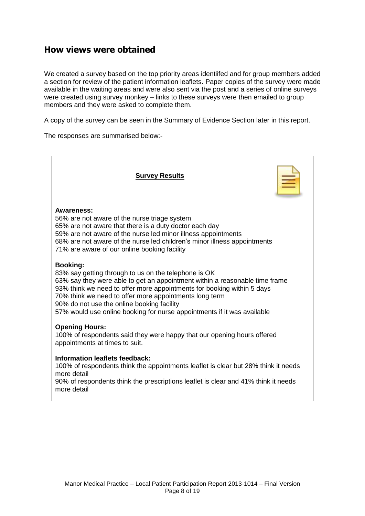## <span id="page-7-0"></span>**How views were obtained**

We created a survey based on the top priority areas identiifed and for group members added a section for review of the patient information leaflets. Paper copies of the survey were made available in the waiting areas and were also sent via the post and a series of online surveys were created using survey monkey – links to these surveys were then emailed to group members and they were asked to complete them.

A copy of the survey can be seen in the Summary of Evidence Section later in this report.

The responses are summarised below:-

| <b>Survey Results</b>                                                                                                                                                                                                                                                                                                                                                                                               |
|---------------------------------------------------------------------------------------------------------------------------------------------------------------------------------------------------------------------------------------------------------------------------------------------------------------------------------------------------------------------------------------------------------------------|
| <b>Awareness:</b><br>56% are not aware of the nurse triage system<br>65% are not aware that there is a duty doctor each day<br>59% are not aware of the nurse led minor illness appointments<br>68% are not aware of the nurse led children's minor illness appointments<br>71% are aware of our online booking facility                                                                                            |
| <b>Booking:</b><br>83% say getting through to us on the telephone is OK<br>63% say they were able to get an appointment within a reasonable time frame<br>93% think we need to offer more appointments for booking within 5 days<br>70% think we need to offer more appointments long term<br>90% do not use the online booking facility<br>57% would use online booking for nurse appointments if it was available |
| <b>Opening Hours:</b><br>100% of respondents said they were happy that our opening hours offered<br>appointments at times to suit.                                                                                                                                                                                                                                                                                  |
| <b>Information leaflets feedback:</b><br>100% of respondents think the appointments leaflet is clear but 28% think it needs<br>more detail                                                                                                                                                                                                                                                                          |

90% of respondents think the prescriptions leaflet is clear and 41% think it needs more detail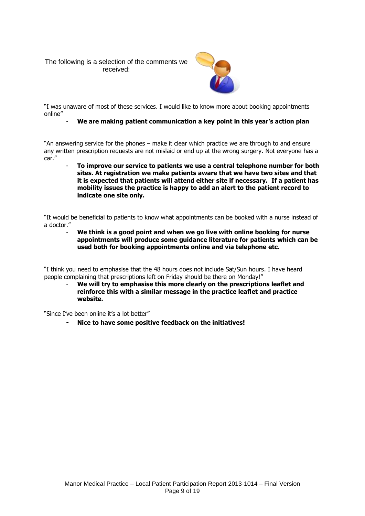The following is a selection of the comments we received:



"I was unaware of most of these services. I would like to know more about booking appointments online"

#### - **We are making patient communication a key point in this year's action plan**

"An answering service for the phones – make it clear which practice we are through to and ensure any written prescription requests are not mislaid or end up at the wrong surgery. Not everyone has a car."

- **To improve our service to patients we use a central telephone number for both sites. At registration we make patients aware that we have two sites and that it is expected that patients will attend either site if necessary. If a patient has mobility issues the practice is happy to add an alert to the patient record to indicate one site only.**

"It would be beneficial to patients to know what appointments can be booked with a nurse instead of a doctor."

- **We think is a good point and when we go live with online booking for nurse appointments will produce some guidance literature for patients which can be used both for booking appointments online and via telephone etc.**

"I think you need to emphasise that the 48 hours does not include Sat/Sun hours. I have heard people complaining that prescriptions left on Friday should be there on Monday!"

We will try to emphasise this more clearly on the prescriptions leaflet and **reinforce this with a similar message in the practice leaflet and practice website.**

"Since I've been online it's a lot better"

- **Nice to have some positive feedback on the initiatives!**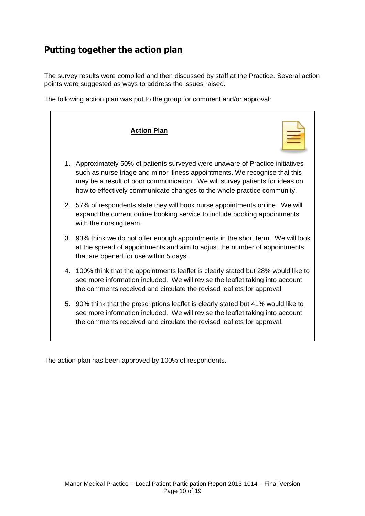## <span id="page-9-0"></span>**Putting together the action plan**

The survey results were compiled and then discussed by staff at the Practice. Several action points were suggested as ways to address the issues raised.

The following action plan was put to the group for comment and/or approval:

| <b>Action Plan</b>                                                                                                                                                                                                                                                                                                      |
|-------------------------------------------------------------------------------------------------------------------------------------------------------------------------------------------------------------------------------------------------------------------------------------------------------------------------|
| 1. Approximately 50% of patients surveyed were unaware of Practice initiatives<br>such as nurse triage and minor illness appointments. We recognise that this<br>may be a result of poor communication. We will survey patients for ideas on<br>how to effectively communicate changes to the whole practice community. |
| 2. 57% of respondents state they will book nurse appointments online. We will<br>expand the current online booking service to include booking appointments<br>with the nursing team.                                                                                                                                    |
| 3. 93% think we do not offer enough appointments in the short term. We will look<br>at the spread of appointments and aim to adjust the number of appointments<br>that are opened for use within 5 days.                                                                                                                |
| 4. 100% think that the appointments leaflet is clearly stated but 28% would like to<br>see more information included. We will revise the leaflet taking into account<br>the comments received and circulate the revised leaflets for approval.                                                                          |
| 5. 90% think that the prescriptions leaflet is clearly stated but 41% would like to<br>see more information included. We will revise the leaflet taking into account<br>the comments received and circulate the revised leaflets for approval.                                                                          |

The action plan has been approved by 100% of respondents.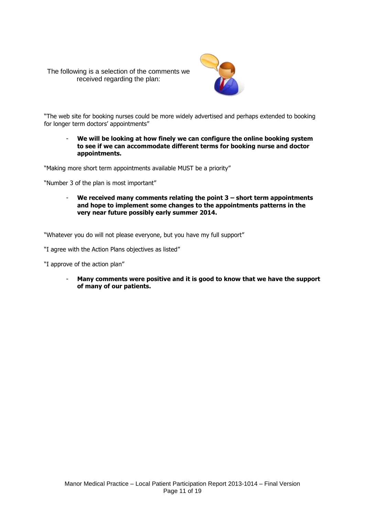The following is a selection of the comments we received regarding the plan:



"The web site for booking nurses could be more widely advertised and perhaps extended to booking for longer term doctors' appointments"

- **We will be looking at how finely we can configure the online booking system to see if we can accommodate different terms for booking nurse and doctor appointments.**

"Making more short term appointments available MUST be a priority"

"Number 3 of the plan is most important"

- **We received many comments relating the point 3 – short term appointments and hope to implement some changes to the appointments patterns in the very near future possibly early summer 2014.**

"Whatever you do will not please everyone, but you have my full support"

"I agree with the Action Plans objectives as listed"

"I approve of the action plan"

- **Many comments were positive and it is good to know that we have the support of many of our patients.**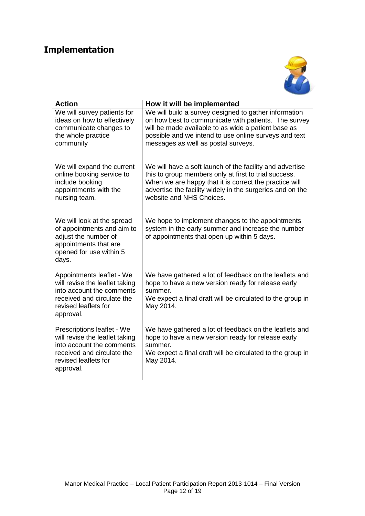## <span id="page-11-0"></span>**Implementation**



| <b>Action</b>                                                                                                                                                | How it will be implemented                                                                                                                                                                                                                                           |
|--------------------------------------------------------------------------------------------------------------------------------------------------------------|----------------------------------------------------------------------------------------------------------------------------------------------------------------------------------------------------------------------------------------------------------------------|
| We will survey patients for<br>ideas on how to effectively<br>communicate changes to<br>the whole practice<br>community                                      | We will build a survey designed to gather information<br>on how best to communicate with patients. The survey<br>will be made available to as wide a patient base as<br>possible and we intend to use online surveys and text<br>messages as well as postal surveys. |
| We will expand the current<br>online booking service to<br>include booking<br>appointments with the<br>nursing team.                                         | We will have a soft launch of the facility and advertise<br>this to group members only at first to trial success.<br>When we are happy that it is correct the practice will<br>advertise the facility widely in the surgeries and on the<br>website and NHS Choices. |
| We will look at the spread<br>of appointments and aim to<br>adjust the number of<br>appointments that are<br>opened for use within 5<br>days.                | We hope to implement changes to the appointments<br>system in the early summer and increase the number<br>of appointments that open up within 5 days.                                                                                                                |
| Appointments leaflet - We<br>will revise the leaflet taking<br>into account the comments<br>received and circulate the<br>revised leaflets for<br>approval.  | We have gathered a lot of feedback on the leaflets and<br>hope to have a new version ready for release early<br>summer.<br>We expect a final draft will be circulated to the group in<br>May 2014.                                                                   |
| Prescriptions leaflet - We<br>will revise the leaflet taking<br>into account the comments<br>received and circulate the<br>revised leaflets for<br>approval. | We have gathered a lot of feedback on the leaflets and<br>hope to have a new version ready for release early<br>summer.<br>We expect a final draft will be circulated to the group in<br>May 2014.                                                                   |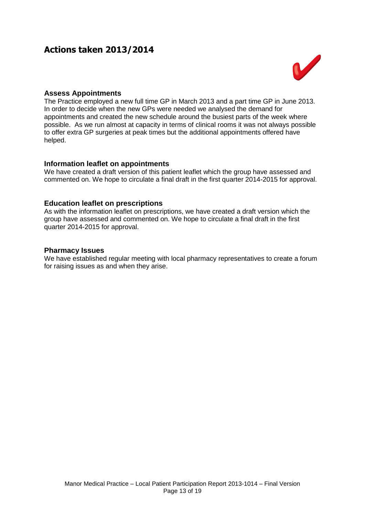## <span id="page-12-0"></span>**Actions taken 2013/2014**



#### <span id="page-12-1"></span>**Assess Appointments**

The Practice employed a new full time GP in March 2013 and a part time GP in June 2013. In order to decide when the new GPs were needed we analysed the demand for appointments and created the new schedule around the busiest parts of the week where possible. As we run almost at capacity in terms of clinical rooms it was not always possible to offer extra GP surgeries at peak times but the additional appointments offered have helped.

#### <span id="page-12-2"></span>**Information leaflet on appointments**

We have created a draft version of this patient leaflet which the group have assessed and commented on. We hope to circulate a final draft in the first quarter 2014-2015 for approval.

#### <span id="page-12-3"></span>**Education leaflet on prescriptions**

As with the information leaflet on prescriptions, we have created a draft version which the group have assessed and commented on. We hope to circulate a final draft in the first quarter 2014-2015 for approval.

#### <span id="page-12-4"></span>**Pharmacy Issues**

We have established regular meeting with local pharmacy representatives to create a forum for raising issues as and when they arise.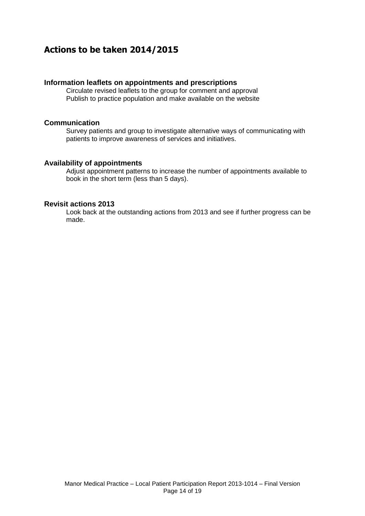## <span id="page-13-0"></span>**Actions to be taken 2014/2015**

#### <span id="page-13-1"></span>**Information leaflets on appointments and prescriptions**

Circulate revised leaflets to the group for comment and approval Publish to practice population and make available on the website

#### <span id="page-13-2"></span>**Communication**

Survey patients and group to investigate alternative ways of communicating with patients to improve awareness of services and initiatives.

#### <span id="page-13-3"></span>**Availability of appointments**

Adjust appointment patterns to increase the number of appointments available to book in the short term (less than 5 days).

#### <span id="page-13-4"></span>**Revisit actions 2013**

Look back at the outstanding actions from 2013 and see if further progress can be made.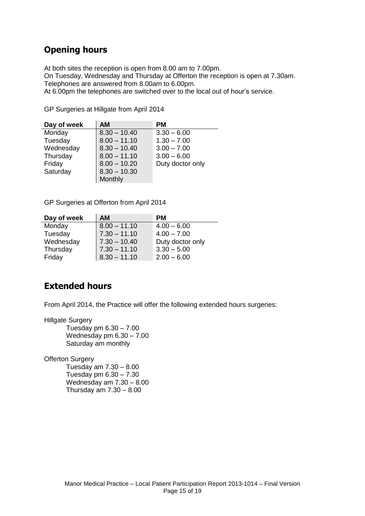## <span id="page-14-0"></span>**Opening hours**

At both sites the reception is open from 8.00 am to 7.00pm. On Tuesday, Wednesday and Thursday at Offerton the reception is open at 7.30am. Telephones are answered from 8.00am to 6.00pm. At 6.00pm the telephones are switched over to the local out of hour's service.

GP Surgeries at Hillgate from April 2014

| Day of week | <b>AM</b>      | PМ               |
|-------------|----------------|------------------|
| Monday      | $8.30 - 10.40$ | $3.30 - 6.00$    |
| Tuesday     | $8.00 - 11.10$ | $1.30 - 7.00$    |
| Wednesday   | $8.30 - 10.40$ | $3.00 - 7.00$    |
| Thursday    | $8.00 - 11.10$ | $3.00 - 6.00$    |
| Friday      | $8.00 - 10.20$ | Duty doctor only |
| Saturday    | $8.30 - 10.30$ |                  |
|             | Monthly        |                  |

GP Surgeries at Offerton from April 2014

| Day of week | <b>AM</b>      | <b>PM</b>        |
|-------------|----------------|------------------|
| Monday      | $8.00 - 11.10$ | $4.00 - 6.00$    |
| Tuesday     | $7.30 - 11.10$ | $4.00 - 7.00$    |
| Wednesday   | $7.30 - 10.40$ | Duty doctor only |
| Thursday    | $7.30 - 11.10$ | $3.30 - 5.00$    |
| Friday      | $8.30 - 11.10$ | $2.00 - 6.00$    |

## <span id="page-14-1"></span>**Extended hours**

From April 2014, the Practice will offer the following extended hours surgeries:

Hillgate Surgery

Tuesday pm 6.30 – 7.00 Wednesday pm 6.30 – 7.00 Saturday am monthly

**Offerton Surgery** 

Tuesday am 7.30 – 8.00 Tuesday pm 6.30 – 7.30 Wednesday am 7.30 – 8.00 Thursday am  $7.30 - 8.00$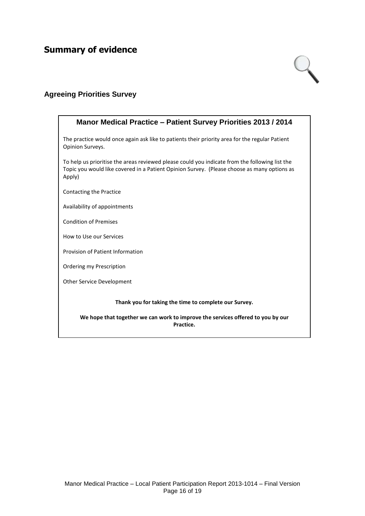## <span id="page-15-0"></span>**Summary of evidence**



#### <span id="page-15-1"></span>**Agreeing Priorities Survey**

## **Manor Medical Practice – Patient Survey Priorities 2013 / 2014** The practice would once again ask like to patients their priority area for the regular Patient Opinion Surveys. To help us prioritise the areas reviewed please could you indicate from the following list the Topic you would like covered in a Patient Opinion Survey. (Please choose as many options as Apply) Contacting the Practice Availability of appointments Condition of Premises How to Use our Services Provision of Patient Information Ordering my Prescription Other Service Development **Thank you for taking the time to complete our Survey. We hope that together we can work to improve the services offered to you by our Practice.**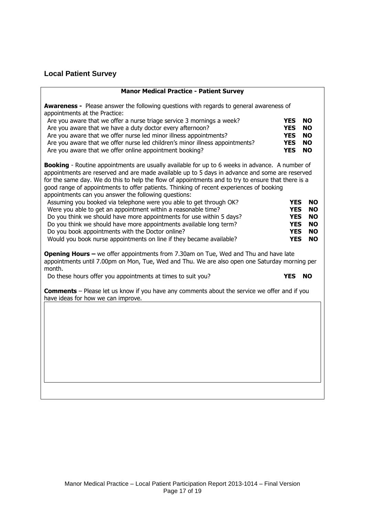## <span id="page-16-0"></span>**Local Patient Survey**

| <b>Manor Medical Practice - Patient Survey</b>                                                                                                                                                                                                                                                                                                                                                                                                                   |                          |                        |
|------------------------------------------------------------------------------------------------------------------------------------------------------------------------------------------------------------------------------------------------------------------------------------------------------------------------------------------------------------------------------------------------------------------------------------------------------------------|--------------------------|------------------------|
| <b>Awareness -</b> Please answer the following questions with regards to general awareness of<br>appointments at the Practice:                                                                                                                                                                                                                                                                                                                                   |                          |                        |
| Are you aware that we offer a nurse triage service 3 mornings a week?<br>Are you aware that we have a duty doctor every afternoon?                                                                                                                                                                                                                                                                                                                               | <b>YES</b><br><b>YES</b> | <b>NO</b><br><b>NO</b> |
| Are you aware that we offer nurse led minor illness appointments?                                                                                                                                                                                                                                                                                                                                                                                                | <b>YES</b>               | <b>NO</b>              |
| Are you aware that we offer nurse led children's minor illness appointments?                                                                                                                                                                                                                                                                                                                                                                                     | <b>YES</b>               | <b>NO</b>              |
| Are you aware that we offer online appointment booking?                                                                                                                                                                                                                                                                                                                                                                                                          | <b>YES</b>               | <b>NO</b>              |
| <b>Booking</b> - Routine appointments are usually available for up to 6 weeks in advance. A number of<br>appointments are reserved and are made available up to 5 days in advance and some are reserved<br>for the same day. We do this to help the flow of appointments and to try to ensure that there is a<br>good range of appointments to offer patients. Thinking of recent experiences of booking<br>appointments can you answer the following questions: |                          |                        |
| Assuming you booked via telephone were you able to get through OK?                                                                                                                                                                                                                                                                                                                                                                                               | <b>YES</b>               | <b>NO</b>              |
| Were you able to get an appointment within a reasonable time?<br>Do you think we should have more appointments for use within 5 days?                                                                                                                                                                                                                                                                                                                            | <b>YES</b><br><b>YES</b> | <b>NO</b><br><b>NO</b> |
| Do you think we should have more appointments available long term?                                                                                                                                                                                                                                                                                                                                                                                               | <b>YES</b>               | <b>NO</b>              |
| Do you book appointments with the Doctor online?                                                                                                                                                                                                                                                                                                                                                                                                                 | <b>YES</b>               | <b>NO</b>              |
| Would you book nurse appointments on line if they became available?                                                                                                                                                                                                                                                                                                                                                                                              | <b>YES</b>               | <b>NO</b>              |
| <b>Opening Hours - </b> we offer appointments from 7.30am on Tue, Wed and Thu and have late<br>appointments until 7.00pm on Mon, Tue, Wed and Thu. We are also open one Saturday morning per<br>month.                                                                                                                                                                                                                                                           |                          |                        |
| Do these hours offer you appointments at times to suit you?                                                                                                                                                                                                                                                                                                                                                                                                      | <b>YES</b>               | <b>NO</b>              |
| <b>Comments</b> - Please let us know if you have any comments about the service we offer and if you<br>have ideas for how we can improve.                                                                                                                                                                                                                                                                                                                        |                          |                        |
|                                                                                                                                                                                                                                                                                                                                                                                                                                                                  |                          |                        |
|                                                                                                                                                                                                                                                                                                                                                                                                                                                                  |                          |                        |
|                                                                                                                                                                                                                                                                                                                                                                                                                                                                  |                          |                        |
|                                                                                                                                                                                                                                                                                                                                                                                                                                                                  |                          |                        |
|                                                                                                                                                                                                                                                                                                                                                                                                                                                                  |                          |                        |
|                                                                                                                                                                                                                                                                                                                                                                                                                                                                  |                          |                        |
|                                                                                                                                                                                                                                                                                                                                                                                                                                                                  |                          |                        |
|                                                                                                                                                                                                                                                                                                                                                                                                                                                                  |                          |                        |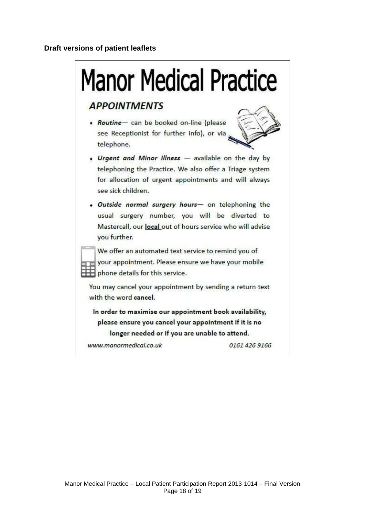#### <span id="page-17-0"></span>**Draft versions of patient leaflets**